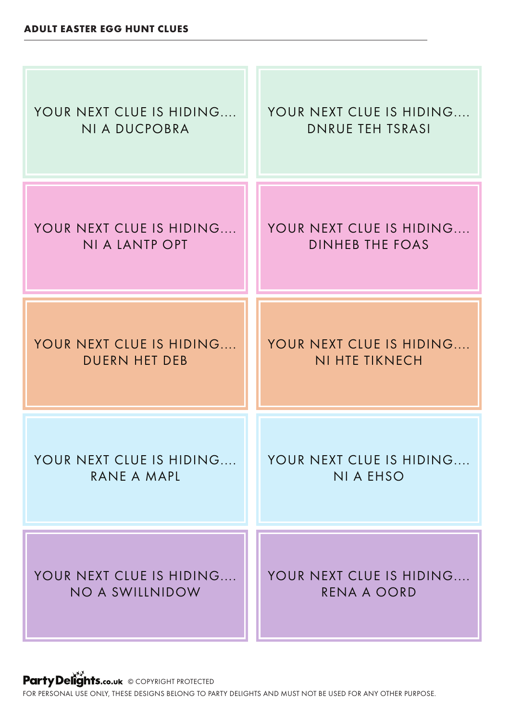

Party Delights.co.uk © COPYRIGHT PROTECTED

FOR PERSONAL USE ONLY, THESE DESIGNS BELONG TO PARTY DELIGHTS AND MUST NOT BE USED FOR ANY OTHER PURPOSE.